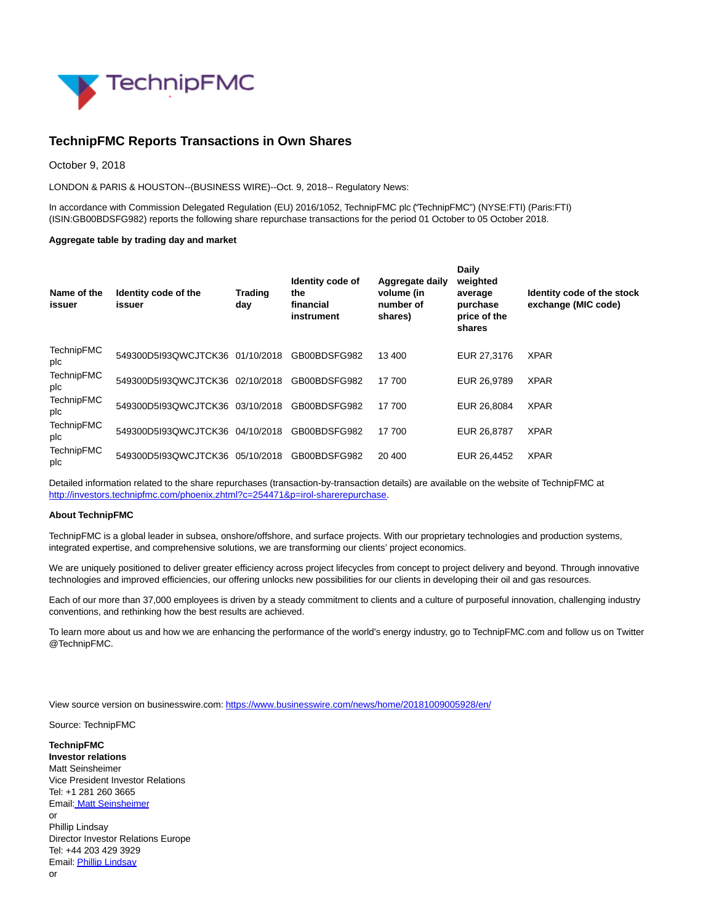

## **TechnipFMC Reports Transactions in Own Shares**

October 9, 2018

LONDON & PARIS & HOUSTON--(BUSINESS WIRE)--Oct. 9, 2018-- Regulatory News:

In accordance with Commission Delegated Regulation (EU) 2016/1052, TechnipFMC plc ("TechnipFMC") (NYSE:FTI) (Paris:FTI) (ISIN:GB00BDSFG982) reports the following share repurchase transactions for the period 01 October to 05 October 2018.

## **Aggregate table by trading day and market**

| Name of the<br>issuer    | Identity code of the<br>issuer  | <b>Trading</b><br>day | Identity code of<br>the<br>financial<br>instrument | Aggregate daily<br>volume (in<br>number of<br>shares) | Daily<br>weighted<br>average<br>purchase<br>price of the<br>shares | Identity code of the stock<br>exchange (MIC code) |
|--------------------------|---------------------------------|-----------------------|----------------------------------------------------|-------------------------------------------------------|--------------------------------------------------------------------|---------------------------------------------------|
| <b>TechnipFMC</b><br>plc | 549300D5I93QWCJTCK36 01/10/2018 |                       | GB00BDSFG982                                       | 13 400                                                | EUR 27,3176                                                        | <b>XPAR</b>                                       |
| <b>TechnipFMC</b><br>plc | 549300D5I93QWCJTCK36 02/10/2018 |                       | GB00BDSFG982                                       | 17 700                                                | EUR 26,9789                                                        | <b>XPAR</b>                                       |
| <b>TechnipFMC</b><br>plc | 549300D5I93QWCJTCK36 03/10/2018 |                       | GB00BDSFG982                                       | 17700                                                 | EUR 26,8084                                                        | <b>XPAR</b>                                       |
| <b>TechnipFMC</b><br>plc | 549300D5I93QWCJTCK36 04/10/2018 |                       | GB00BDSFG982                                       | 17 700                                                | EUR 26,8787                                                        | <b>XPAR</b>                                       |
| TechnipFMC<br>plc        | 549300D5I93QWCJTCK36 05/10/2018 |                       | GB00BDSFG982                                       | 20 400                                                | EUR 26.4452                                                        | <b>XPAR</b>                                       |

Detailed information related to the share repurchases (transaction-by-transaction details) are available on the website of TechnipFMC at [http://investors.technipfmc.com/phoenix.zhtml?c=254471&p=irol-sharerepurchase.](http://cts.businesswire.com/ct/CT?id=smartlink&url=http%3A%2F%2Finvestors.technipfmc.com%2Fphoenix.zhtml%3Fc%3D254471%26p%3Dirol-sharerepurchase&esheet=51880212&newsitemid=20181009005928&lan=en-US&anchor=http%3A%2F%2Finvestors.technipfmc.com%2Fphoenix.zhtml%3Fc%3D254471%26p%3Dirol-sharerepurchase&index=1&md5=06bef7981cc73f5105b878a1b4e5e8bd)

## **About TechnipFMC**

TechnipFMC is a global leader in subsea, onshore/offshore, and surface projects. With our proprietary technologies and production systems, integrated expertise, and comprehensive solutions, we are transforming our clients' project economics.

We are uniquely positioned to deliver greater efficiency across project lifecycles from concept to project delivery and beyond. Through innovative technologies and improved efficiencies, our offering unlocks new possibilities for our clients in developing their oil and gas resources.

Each of our more than 37,000 employees is driven by a steady commitment to clients and a culture of purposeful innovation, challenging industry conventions, and rethinking how the best results are achieved.

To learn more about us and how we are enhancing the performance of the world's energy industry, go to TechnipFMC.com and follow us on Twitter @TechnipFMC.

View source version on businesswire.com:<https://www.businesswire.com/news/home/20181009005928/en/>

Source: TechnipFMC

**TechnipFMC Investor relations** Matt Seinsheimer Vice President Investor Relations Tel: +1 281 260 3665 Email[: Matt Seinsheimer](mailto:InvestorRelations@TechnipFMC.com) or Phillip Lindsay Director Investor Relations Europe Tel: +44 203 429 3929 Email[: Phillip Lindsay](mailto:investorrelations@technipfmc.com) or